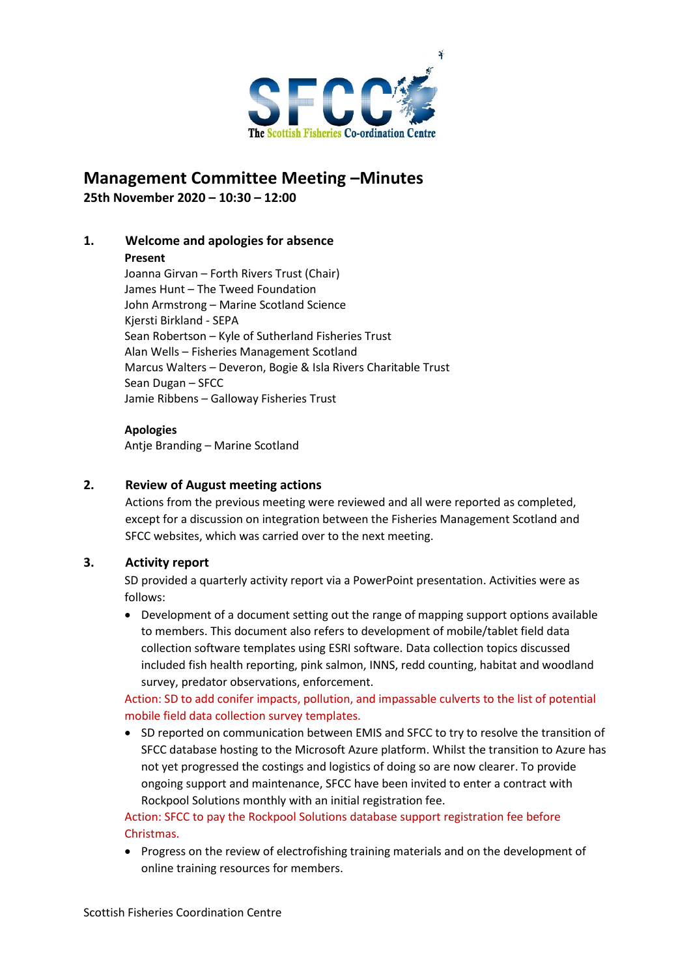

# **Management Committee Meeting –Minutes 25th November 2020 – 10:30 – 12:00**

## **1. Welcome and apologies for absence**

#### **Present**

Joanna Girvan – Forth Rivers Trust (Chair) James Hunt – The Tweed Foundation John Armstrong – Marine Scotland Science Kjersti Birkland - SEPA Sean Robertson – Kyle of Sutherland Fisheries Trust Alan Wells – Fisheries Management Scotland Marcus Walters – Deveron, Bogie & Isla Rivers Charitable Trust Sean Dugan – SFCC Jamie Ribbens – Galloway Fisheries Trust

## **Apologies**

Antje Branding – Marine Scotland

## **2. Review of August meeting actions**

Actions from the previous meeting were reviewed and all were reported as completed, except for a discussion on integration between the Fisheries Management Scotland and SFCC websites, which was carried over to the next meeting.

## **3. Activity report**

SD provided a quarterly activity report via a PowerPoint presentation. Activities were as follows:

• Development of a document setting out the range of mapping support options available to members. This document also refers to development of mobile/tablet field data collection software templates using ESRI software. Data collection topics discussed included fish health reporting, pink salmon, INNS, redd counting, habitat and woodland survey, predator observations, enforcement.

Action: SD to add conifer impacts, pollution, and impassable culverts to the list of potential mobile field data collection survey templates.

• SD reported on communication between EMIS and SFCC to try to resolve the transition of SFCC database hosting to the Microsoft Azure platform. Whilst the transition to Azure has not yet progressed the costings and logistics of doing so are now clearer. To provide ongoing support and maintenance, SFCC have been invited to enter a contract with Rockpool Solutions monthly with an initial registration fee.

## Action: SFCC to pay the Rockpool Solutions database support registration fee before Christmas.

• Progress on the review of electrofishing training materials and on the development of online training resources for members.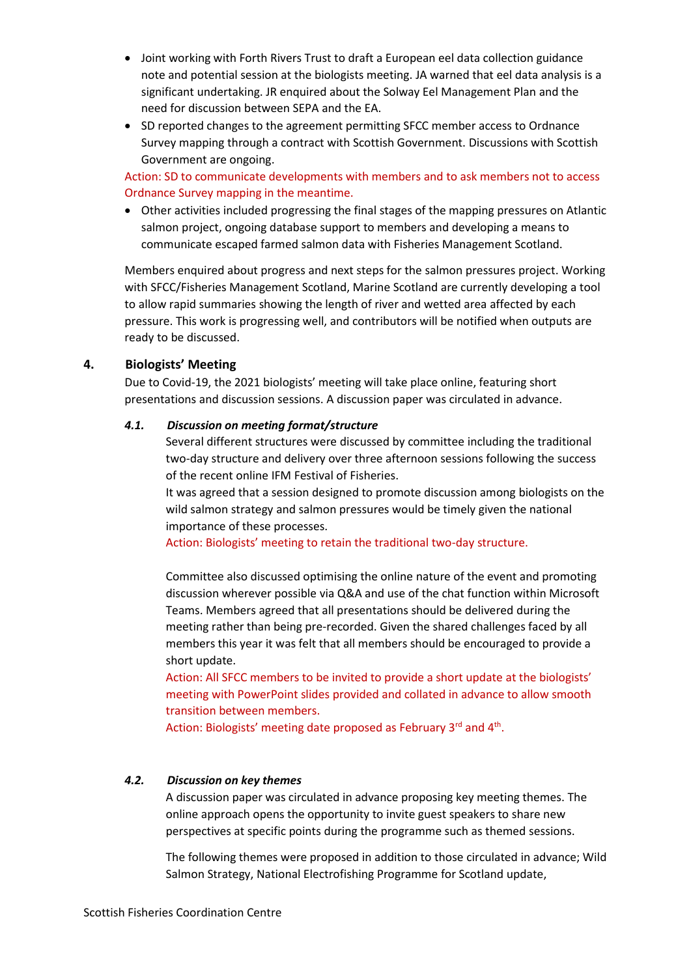- Joint working with Forth Rivers Trust to draft a European eel data collection guidance note and potential session at the biologists meeting. JA warned that eel data analysis is a significant undertaking. JR enquired about the Solway Eel Management Plan and the need for discussion between SEPA and the EA.
- SD reported changes to the agreement permitting SFCC member access to Ordnance Survey mapping through a contract with Scottish Government. Discussions with Scottish Government are ongoing.

Action: SD to communicate developments with members and to ask members not to access Ordnance Survey mapping in the meantime.

• Other activities included progressing the final stages of the mapping pressures on Atlantic salmon project, ongoing database support to members and developing a means to communicate escaped farmed salmon data with Fisheries Management Scotland.

Members enquired about progress and next steps for the salmon pressures project. Working with SFCC/Fisheries Management Scotland, Marine Scotland are currently developing a tool to allow rapid summaries showing the length of river and wetted area affected by each pressure. This work is progressing well, and contributors will be notified when outputs are ready to be discussed.

## **4. Biologists' Meeting**

Due to Covid-19, the 2021 biologists' meeting will take place online, featuring short presentations and discussion sessions. A discussion paper was circulated in advance.

## *4.1. Discussion on meeting format/structure*

Several different structures were discussed by committee including the traditional two-day structure and delivery over three afternoon sessions following the success of the recent online IFM Festival of Fisheries.

It was agreed that a session designed to promote discussion among biologists on the wild salmon strategy and salmon pressures would be timely given the national importance of these processes.

Action: Biologists' meeting to retain the traditional two-day structure.

Committee also discussed optimising the online nature of the event and promoting discussion wherever possible via Q&A and use of the chat function within Microsoft Teams. Members agreed that all presentations should be delivered during the meeting rather than being pre-recorded. Given the shared challenges faced by all members this year it was felt that all members should be encouraged to provide a short update.

Action: All SFCC members to be invited to provide a short update at the biologists' meeting with PowerPoint slides provided and collated in advance to allow smooth transition between members.

Action: Biologists' meeting date proposed as February 3<sup>rd</sup> and 4<sup>th</sup>.

## *4.2. Discussion on key themes*

A discussion paper was circulated in advance proposing key meeting themes. The online approach opens the opportunity to invite guest speakers to share new perspectives at specific points during the programme such as themed sessions.

The following themes were proposed in addition to those circulated in advance; Wild Salmon Strategy, National Electrofishing Programme for Scotland update,